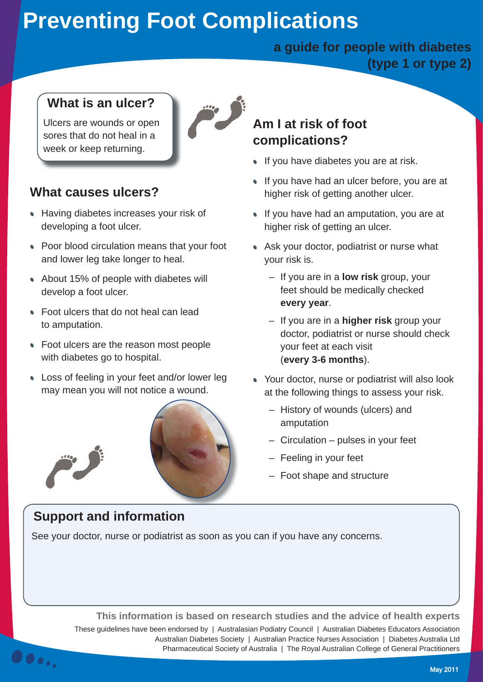# **Preventing Foot Complications**

#### **a guide for people with diabetes (type 1 or type 2)**

#### **What is an ulcer?**

Ulcers are wounds or open sores that do not heal in a week or keep returning.

### **What causes ulcers?**

- **Having diabetes increases your risk of** developing a foot ulcer.
- Poor blood circulation means that your foot and lower leg take longer to heal.
- About 15% of people with diabetes will develop a foot ulcer.
- Foot ulcers that do not heal can lead to amputation.
- Foot ulcers are the reason most people with diabetes go to hospital.
- Loss of feeling in your feet and/or lower leg may mean you will not notice a wound.



See your doctor, nurse or podiatrist as soon as you can if you have any concerns.

## **Support and information**

00.,

**Am I at risk of foot complications?**

- If you have diabetes you are at risk.
- If you have had an ulcer before, you are at higher risk of getting another ulcer.
- If you have had an amputation, you are at higher risk of getting an ulcer.
- Ask your doctor, podiatrist or nurse what your risk is.
	- If you are in a **low risk** group, your feet should be medically checked **every year**.
	- If you are in a **higher risk** group your doctor, podiatrist or nurse should check your feet at each visit (**every 3-6 months**).
- Your doctor, nurse or podiatrist will also look at the following things to assess your risk.
	- History of wounds (ulcers) and amputation
	- Circulation pulses in your feet
	- Feeling in your feet
	- Foot shape and structure

**This information is based on research studies and the advice of health experts** These guidelines have been endorsed by | Australasian Podiatry Council | Australian Diabetes Educators Association Australian Diabetes Society | Australian Practice Nurses Association | Diabetes Australia Ltd Pharmaceutical Society of Australia | The Royal Australian College of General Practitioners